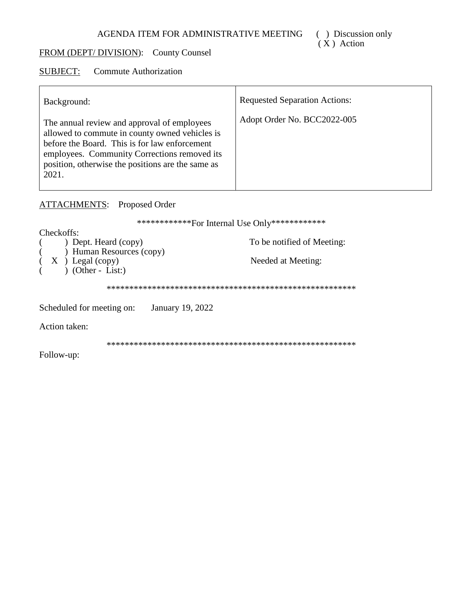## FROM (DEPT/DIVISION): County Counsel

#### **SUBJECT: Commute Authorization**

| Background:                                                                                                                                                                                                                                                  | <b>Requested Separation Actions:</b> |
|--------------------------------------------------------------------------------------------------------------------------------------------------------------------------------------------------------------------------------------------------------------|--------------------------------------|
| The annual review and approval of employees<br>allowed to commute in county owned vehicles is<br>before the Board. This is for law enforcement<br>employees. Community Corrections removed its<br>position, otherwise the positions are the same as<br>2021. | Adopt Order No. BCC2022-005          |

# **ATTACHMENTS:** Proposed Order

\*\*\*\*\*\*\*\*\*\*\*\*\*For Internal Use Only\*\*\*\*\*\*\*\*\*\*\*\*\*

Checkoffs:

|  | $)$ Dept. Heard (copy) |
|--|------------------------|
|  | ) Human Resources (    |
|  |                        |

To be notified of Meeting:

 $\begin{pmatrix} X \\ Y \end{pmatrix}$  Legal (copy)<br>
(Other - List:)  $\left($  $\overline{(\ }$ 

Needed at Meeting:

Scheduled for meeting on: January 19, 2022

 $\left(\text{copy}\right)$ 

Action taken:

Follow-up: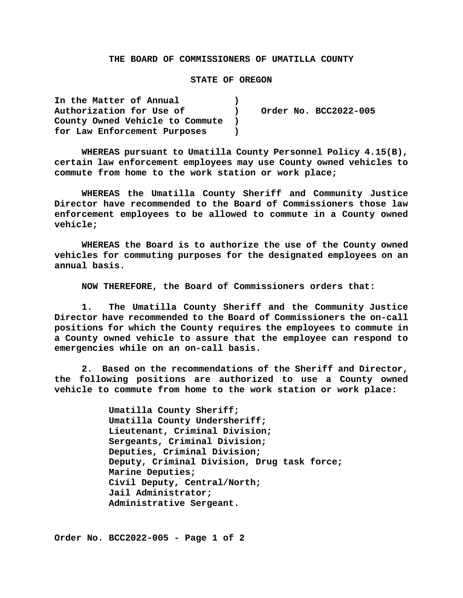### **THE BOARD OF COMMISSIONERS OF UMATILLA COUNTY**

### **STATE OF OREGON**

| In the Matter of Annual         |  |                       |
|---------------------------------|--|-----------------------|
| Authorization for Use of        |  | Order No. BCC2022-005 |
| County Owned Vehicle to Commute |  |                       |
| for Law Enforcement Purposes    |  |                       |

**WHEREAS pursuant to Umatilla County Personnel Policy 4.15(B), certain law enforcement employees may use County owned vehicles to commute from home to the work station or work place;**

**WHEREAS the Umatilla County Sheriff and Community Justice Director have recommended to the Board of Commissioners those law enforcement employees to be allowed to commute in a County owned vehicle;**

**WHEREAS the Board is to authorize the use of the County owned vehicles for commuting purposes for the designated employees on an annual basis.**

**NOW THEREFORE, the Board of Commissioners orders that:**

**1. The Umatilla County Sheriff and the Community Justice Director have recommended to the Board of Commissioners the on-call positions for which the County requires the employees to commute in a County owned vehicle to assure that the employee can respond to emergencies while on an on-call basis.**

**2. Based on the recommendations of the Sheriff and Director, the following positions are authorized to use a County owned vehicle to commute from home to the work station or work place:**

> **Umatilla County Sheriff; Umatilla County Undersheriff; Lieutenant, Criminal Division; Sergeants, Criminal Division; Deputies, Criminal Division; Deputy, Criminal Division, Drug task force; Marine Deputies; Civil Deputy, Central/North; Jail Administrator; Administrative Sergeant.**

**Order No. BCC2022-005 - Page 1 of 2**